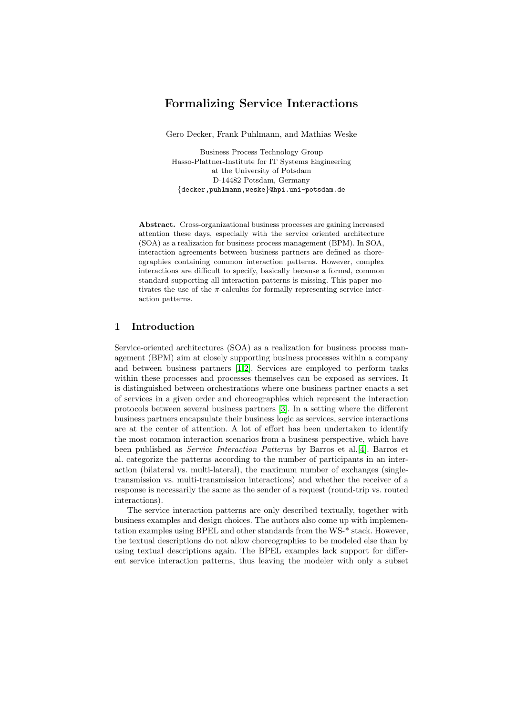# Formalizing Service Interactions

Gero Decker, Frank Puhlmann, and Mathias Weske

Business Process Technology Group Hasso-Plattner-Institute for IT Systems Engineering at the University of Potsdam D-14482 Potsdam, Germany {decker,puhlmann,weske}@hpi.uni-potsdam.de

Abstract. Cross-organizational business processes are gaining increased attention these days, especially with the service oriented architecture (SOA) as a realization for business process management (BPM). In SOA, interaction agreements between business partners are defined as choreographies containing common interaction patterns. However, complex interactions are difficult to specify, basically because a formal, common standard supporting all interaction patterns is missing. This paper motivates the use of the  $\pi$ -calculus for formally representing service interaction patterns.

# 1 Introduction

Service-oriented architectures (SOA) as a realization for business process management (BPM) aim at closely supporting business processes within a company and between business partners [\[1,](#page-5-0)[2\]](#page-5-1). Services are employed to perform tasks within these processes and processes themselves can be exposed as services. It is distinguished between orchestrations where one business partner enacts a set of services in a given order and choreographies which represent the interaction protocols between several business partners [\[3\]](#page-5-2). In a setting where the different business partners encapsulate their business logic as services, service interactions are at the center of attention. A lot of effort has been undertaken to identify the most common interaction scenarios from a business perspective, which have been published as Service Interaction Patterns by Barros et al.[\[4\]](#page-5-3). Barros et al. categorize the patterns according to the number of participants in an interaction (bilateral vs. multi-lateral), the maximum number of exchanges (singletransmission vs. multi-transmission interactions) and whether the receiver of a response is necessarily the same as the sender of a request (round-trip vs. routed interactions).

The service interaction patterns are only described textually, together with business examples and design choices. The authors also come up with implementation examples using BPEL and other standards from the WS-\* stack. However, the textual descriptions do not allow choreographies to be modeled else than by using textual descriptions again. The BPEL examples lack support for different service interaction patterns, thus leaving the modeler with only a subset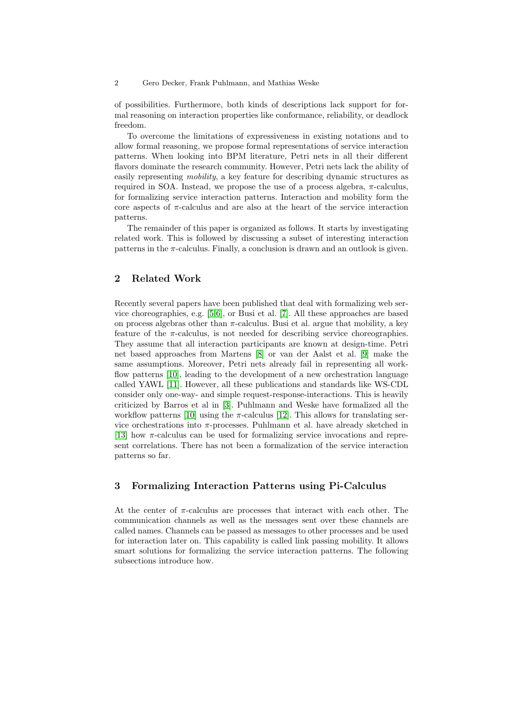#### 2 Gero Decker, Frank Puhlmann, and Mathias Weske

of possibilities. Furthermore, both kinds of descriptions lack support for formal reasoning on interaction properties like conformance, reliability, or deadlock freedom.

To overcome the limitations of expressiveness in existing notations and to allow formal reasoning, we propose formal representations of service interaction patterns. When looking into BPM literature, Petri nets in all their different flavors dominate the research community. However, Petri nets lack the ability of easily representing mobility, a key feature for describing dynamic structures as required in SOA. Instead, we propose the use of a process algebra,  $\pi$ -calculus, for formalizing service interaction patterns. Interaction and mobility form the core aspects of  $\pi$ -calculus and are also at the heart of the service interaction patterns.

The remainder of this paper is organized as follows. It starts by investigating related work. This is followed by discussing a subset of interesting interaction patterns in the  $\pi$ -calculus. Finally, a conclusion is drawn and an outlook is given.

# 2 Related Work

Recently several papers have been published that deal with formalizing web service choreographies, e.g. [\[5,](#page-5-4)[6\]](#page-5-5), or Busi et al. [\[7\]](#page-5-6). All these approaches are based on process algebras other than  $\pi$ -calculus. Busi et al. argue that mobility, a key feature of the  $\pi$ -calculus, is not needed for describing service choreographies. They assume that all interaction participants are known at design-time. Petri net based approaches from Martens [\[8\]](#page-5-7) or van der Aalst et al. [\[9\]](#page-5-8) make the same assumptions. Moreover, Petri nets already fail in representing all workflow patterns [\[10\]](#page-5-9), leading to the development of a new orchestration language called YAWL [\[11\]](#page-5-10). However, all these publications and standards like WS-CDL consider only one-way- and simple request-response-interactions. This is heavily criticized by Barros et al in [\[3\]](#page-5-2). Puhlmann and Weske have formalized all the workflow patterns [\[10\]](#page-5-9) using the  $\pi$ -calculus [\[12\]](#page-5-11). This allows for translating service orchestrations into  $\pi$ -processes. Puhlmann et al. have already sketched in [\[13\]](#page-5-12) how π-calculus can be used for formalizing service invocations and represent correlations. There has not been a formalization of the service interaction patterns so far.

## 3 Formalizing Interaction Patterns using Pi-Calculus

At the center of  $\pi$ -calculus are processes that interact with each other. The communication channels as well as the messages sent over these channels are called names. Channels can be passed as messages to other processes and be used for interaction later on. This capability is called link passing mobility. It allows smart solutions for formalizing the service interaction patterns. The following subsections introduce how.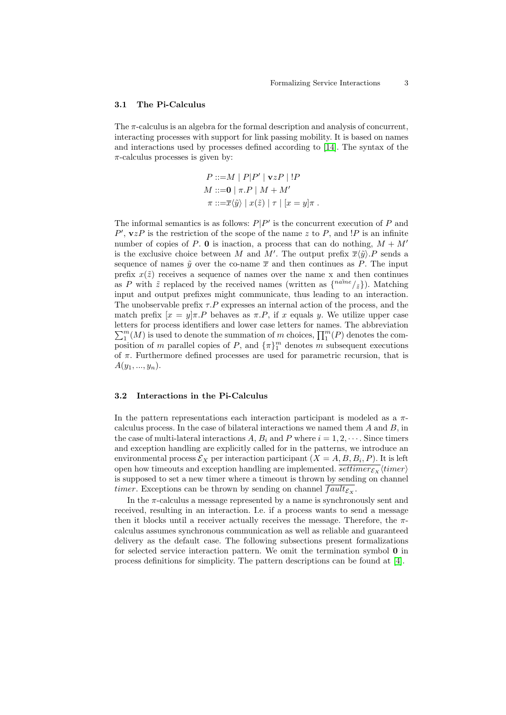#### 3.1 The Pi-Calculus

The  $\pi$ -calculus is an algebra for the formal description and analysis of concurrent, interacting processes with support for link passing mobility. It is based on names and interactions used by processes defined according to [\[14\]](#page-5-13). The syntax of the  $\pi$ -calculus processes is given by:

$$
P ::= M | P|P' | \mathbf{v}zP | !P
$$
  

$$
M ::= \mathbf{0} | \pi.P | M + M'
$$
  

$$
\pi ::= \overline{x}\langle \tilde{y} \rangle | x(\tilde{z}) | \tau | [x = y] \pi .
$$

The informal semantics is as follows:  $P|P'$  is the concurrent execution of P and  $P'$ ,  $vzP$  is the restriction of the scope of the name z to P, and !P is an infinite number of copies of P. 0 is inaction, a process that can do nothing,  $M + M'$ is the exclusive choice between M and M'. The output prefix  $\bar{x}\langle \tilde{y} \rangle$ . P sends a sequence of names  $\tilde{y}$  over the co-name  $\bar{x}$  and then continues as P. The input prefix  $x(\tilde{z})$  receives a sequence of names over the name x and then continues as P with  $\tilde{z}$  replaced by the received names (written as  $\{n\tilde{a}me/z\}$ ). Matching input and output prefixes might communicate, thus leading to an interaction. The unobservable prefix  $\tau.P$  expresses an internal action of the process, and the match prefix  $[x = y]\pi.P$  behaves as  $\pi.P$ , if x equals y. We utilize upper case letters for process identifiers and lower case letters for names. The abbreviation  $\sum_{1}^{m}(M)$  is used to denote the summation of m choices,  $\prod_{1}^{m}(P)$  denotes the composition of m parallel copies of P, and  $\{\pi\}_{1}^{m}$  denotes m subsequent executions of  $\pi$ . Furthermore defined processes are used for parametric recursion, that is  $A(y_1, ..., y_n).$ 

## 3.2 Interactions in the Pi-Calculus

In the pattern representations each interaction participant is modeled as a  $\pi$ calculus process. In the case of bilateral interactions we named them  $A$  and  $B$ , in the case of multi-lateral interactions A,  $B_i$  and P where  $i = 1, 2, \cdots$ . Since timers and exception handling are explicitly called for in the patterns, we introduce an environmental process  $\mathcal{E}_X$  per interaction participant  $(X = A, B, B_i, P)$ . It is left open how timeouts and exception handling are implemented. settimer<sub> $\varepsilon_x$ </sub> (timer) is supposed to set a new timer where a timeout is thrown by sending on channel timer. Exceptions can be thrown by sending on channel  $\overline{fault_{\mathcal{E}_X}}$ .

In the  $\pi$ -calculus a message represented by a name is synchronously sent and received, resulting in an interaction. I.e. if a process wants to send a message then it blocks until a receiver actually receives the message. Therefore, the  $\pi$ calculus assumes synchronous communication as well as reliable and guaranteed delivery as the default case. The following subsections present formalizations for selected service interaction pattern. We omit the termination symbol 0 in process definitions for simplicity. The pattern descriptions can be found at [\[4\]](#page-5-3).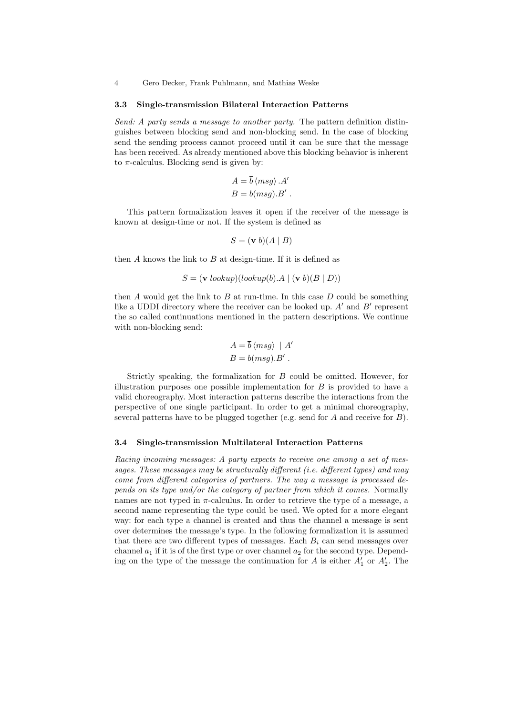4 Gero Decker, Frank Puhlmann, and Mathias Weske

# 3.3 Single-transmission Bilateral Interaction Patterns

Send: A party sends a message to another party. The pattern definition distinguishes between blocking send and non-blocking send. In the case of blocking send the sending process cannot proceed until it can be sure that the message has been received. As already mentioned above this blocking behavior is inherent to  $\pi$ -calculus. Blocking send is given by:

$$
A = \overline{b} \langle msg \rangle . A'
$$
  

$$
B = b(msg).B' .
$$

This pattern formalization leaves it open if the receiver of the message is known at design-time or not. If the system is defined as

$$
S = (\mathbf{v} \; b)(A \mid B)
$$

then  $A$  knows the link to  $B$  at design-time. If it is defined as

$$
S = (\mathbf{v} \text{ lookup})(\text{lookup}(b).A \mid (\mathbf{v} \text{ b})(B \mid D))
$$

then  $A$  would get the link to  $B$  at run-time. In this case  $D$  could be something like a UDDI directory where the receiver can be looked up.  $A'$  and  $B'$  represent the so called continuations mentioned in the pattern descriptions. We continue with non-blocking send:

$$
A = \overline{b} \langle msg \rangle \mid A'
$$
  

$$
B = b(msg).B' .
$$

Strictly speaking, the formalization for B could be omitted. However, for illustration purposes one possible implementation for  $B$  is provided to have a valid choreography. Most interaction patterns describe the interactions from the perspective of one single participant. In order to get a minimal choreography, several patterns have to be plugged together (e.g. send for  $A$  and receive for  $B$ ).

### 3.4 Single-transmission Multilateral Interaction Patterns

Racing incoming messages: A party expects to receive one among a set of messages. These messages may be structurally different (i.e. different types) and may come from different categories of partners. The way a message is processed depends on its type and/or the category of partner from which it comes. Normally names are not typed in  $\pi$ -calculus. In order to retrieve the type of a message, a second name representing the type could be used. We opted for a more elegant way: for each type a channel is created and thus the channel a message is sent over determines the message's type. In the following formalization it is assumed that there are two different types of messages. Each  $B_i$  can send messages over channel  $a_1$  if it is of the first type or over channel  $a_2$  for the second type. Depending on the type of the message the continuation for A is either  $A'_1$  or  $A'_2$ . The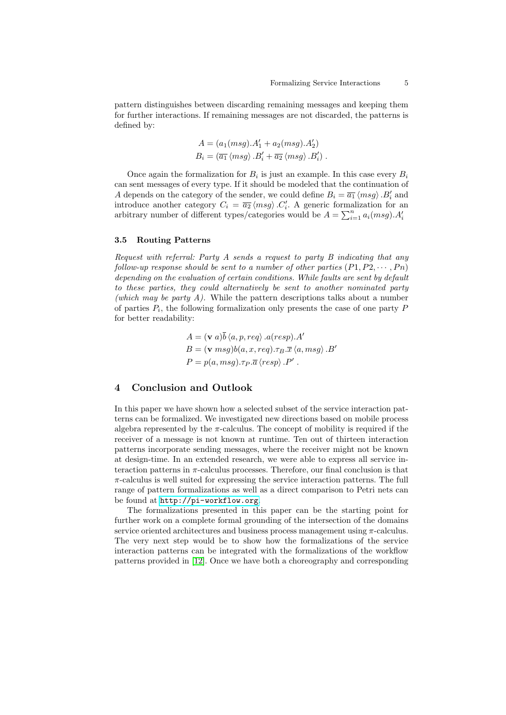pattern distinguishes between discarding remaining messages and keeping them for further interactions. If remaining messages are not discarded, the patterns is defined by:

$$
A = (a_1(msg).A'_1 + a_2(msg).A'_2)
$$
  
\n
$$
B_i = (\overline{a_1} \langle msg \rangle.B'_i + \overline{a_2} \langle msg \rangle.B'_i).
$$

Once again the formalization for  $B_i$  is just an example. In this case every  $B_i$ can sent messages of every type. If it should be modeled that the continuation of A depends on the category of the sender, we could define  $B_i = \overline{a_1} \langle msg \rangle$ . $B'_i$  and introduce another category  $C_i = \overline{a_2} \langle msg \rangle$ . C'<sub>i</sub>. A generic formalization for an arbitrary number of different types/categories would be  $A = \sum_{i=1}^{n} a_i(msg) A'_i$ 

#### 3.5 Routing Patterns

Request with referral: Party A sends a request to party B indicating that any follow-up response should be sent to a number of other parties  $(P_1, P_2, \cdots, P_n)$ depending on the evaluation of certain conditions. While faults are sent by default to these parties, they could alternatively be sent to another nominated party (which may be party  $A$ ). While the pattern descriptions talks about a number of parties  $P_i$ , the following formalization only presents the case of one party  $P_i$ for better readability:

$$
A = (\mathbf{v} \ a)\overline{b} \langle a, p, req \rangle \ . a (resp). A'
$$
  
\n
$$
B = (\mathbf{v} \ msg)b(a, x, req). \tau_B. \overline{x} \langle a, msg \rangle . B'
$$
  
\n
$$
P = p(a, msg). \tau_P. \overline{a} \langle resp \rangle . P' .
$$

# 4 Conclusion and Outlook

In this paper we have shown how a selected subset of the service interaction patterns can be formalized. We investigated new directions based on mobile process algebra represented by the  $\pi$ -calculus. The concept of mobility is required if the receiver of a message is not known at runtime. Ten out of thirteen interaction patterns incorporate sending messages, where the receiver might not be known at design-time. In an extended research, we were able to express all service interaction patterns in  $\pi$ -calculus processes. Therefore, our final conclusion is that  $\pi$ -calculus is well suited for expressing the service interaction patterns. The full range of pattern formalizations as well as a direct comparison to Petri nets can be found at <http://pi-workflow.org>.

The formalizations presented in this paper can be the starting point for further work on a complete formal grounding of the intersection of the domains service oriented architectures and business process management using  $\pi$ -calculus. The very next step would be to show how the formalizations of the service interaction patterns can be integrated with the formalizations of the workflow patterns provided in [\[12\]](#page-5-11). Once we have both a choreography and corresponding